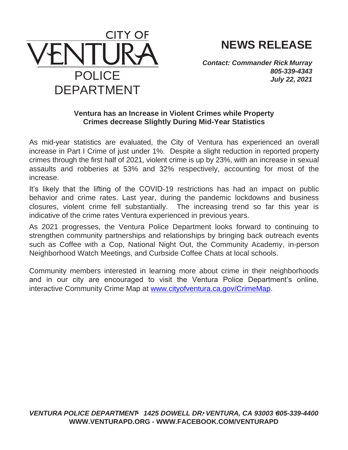

**NEWS RELEASE**

*Contact: Commander Rick Murray 805-339-4343 July 22, 2021*

## **Ventura has an Increase in Violent Crimes while Property Crimes decrease Slightly During Mid-Year Statistics**

As mid-year statistics are evaluated, the City of Ventura has experienced an overall increase in Part I Crime of just under 1%. Despite a slight reduction in reported property crimes through the first half of 2021, violent crime is up by 23%, with an increase in sexual assaults and robberies at 53% and 32% respectively, accounting for most of the increase.

It's likely that the lifting of the COVID-19 restrictions has had an impact on public behavior and crime rates. Last year, during the pandemic lockdowns and business closures, violent crime fell substantially. The increasing trend so far this year is indicative of the crime rates Ventura experienced in previous years.

As 2021 progresses, the Ventura Police Department looks forward to continuing to strengthen community partnerships and relationships by bringing back outreach events such as Coffee with a Cop, National Night Out, the Community Academy, in-person Neighborhood Watch Meetings, and Curbside Coffee Chats at local schools.

Community members interested in learning more about crime in their neighborhoods and in our city are encouraged to visit the Ventura Police Department's online, interactive Community Crime Map at [www.cityofventura.ca.gov/CrimeMap.](http://www.cityofventura.ca.gov/CrimeMap)